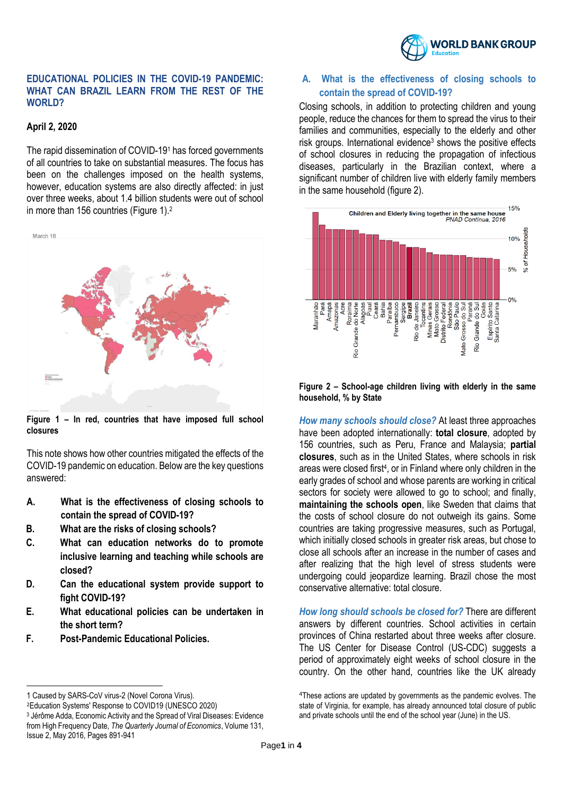

#### **EDUCATIONAL POLICIES IN THE COVID-19 PANDEMIC: WHAT CAN BRAZIL LEARN FROM THE REST OF THE**  WORLD?

## **April 2, 2020**

The rapid dissemination of COVID-19<sup>1</sup> has forced governments of all countries to take on substantial measures. The focus has been on the challenges imposed on the health systems, however, education systems are also directly affected: in just over three weeks, about 1.4 billion students were out of school in more than 156 countries (Figure 1).<sup>2</sup>



**Figure 1 – In red, countries that have imposed full school closures**

This note shows how other countries mitigated the effects of the COVID-19 pandemic on education. Below are the key questions answered:

- **A. What is the effectiveness of closing schools to contain the spread of COVID-19?**
- **B. What are the risks of closing schools?**
- **C. What can education networks do to promote inclusive learning and teaching while schools are closed?**
- **D. Can the educational system provide support to fight COVID-19?**
- **E. What educational policies can be undertaken in the short term?**
- **F. Post-Pandemic Educational Policies.**

 $\overline{a}$ 

## **A. What is the effectiveness of closing schools to contain the spread of COVID-19?**

Closing schools, in addition to protecting children and young people, reduce the chances for them to spread the virus to their families and communities, especially to the elderly and other risk groups. International evidence<sup>3</sup> shows the positive effects of school closures in reducing the propagation of infectious diseases, particularly in the Brazilian context, where a significant number of children live with elderly family members in the same household (figure 2).



**Figure 2 – School-age children living with elderly in the same household, % by State**

*How many schools should close?* At least three approaches have been adopted internationally: **total closure**, adopted by 156 countries, such as Peru, France and Malaysia; **partial closures**, such as in the United States, where schools in risk areas were closed first<sup>4</sup>, or in Finland where only children in the early grades of school and whose parents are working in critical sectors for society were allowed to go to school; and finally, **maintaining the schools open**, like Sweden that claims that the costs of school closure do not outweigh its gains. Some countries are taking progressive measures, such as Portugal, which initially closed schools in greater risk areas, but chose to close all schools after an increase in the number of cases and after realizing that the high level of stress students were undergoing could jeopardize learning. Brazil chose the most conservative alternative: total closure.

*How long should schools be closed for?* There are different answers by different countries. School activities in certain provinces of China restarted about three weeks after closure. The US Center for Disease Control (US-CDC) suggests a period of approximately eight weeks of school closure in the country. On the other hand, countries like the UK already

<sup>1</sup> Caused by SARS-CoV virus-2 (Novel Corona Virus).

<sup>2</sup>Education Systems' Response to COVID19 (UNESCO 2020)

<sup>3</sup> Jérôme Adda, Economic Activity and the Spread of Viral Diseases: Evidence from High Frequency Date, *The Quarterly Journal of Economics*, Volume 131, Issue 2, May 2016, Pages 891-941

<sup>4</sup>These actions are updated by governments as the pandemic evolves. The state of Virginia, for example, has already announced total closure of public and private schools until the end of the school year (June) in the US.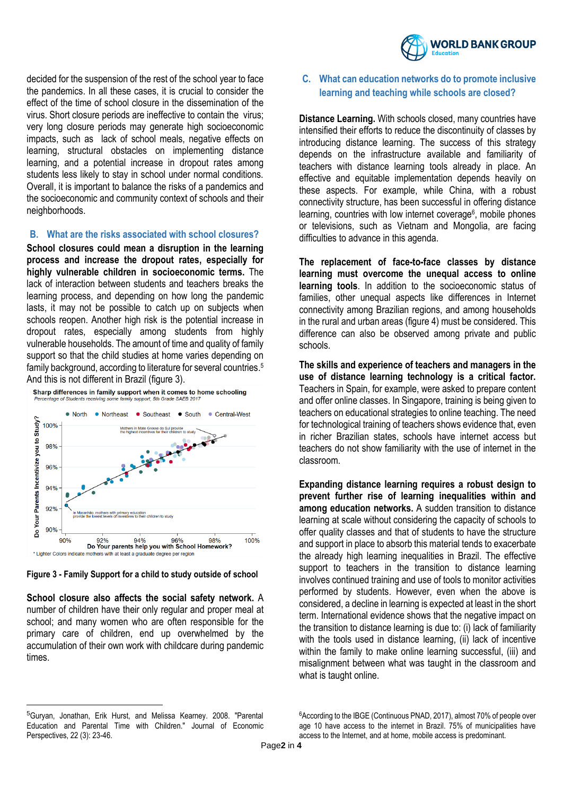

decided for the suspension of the rest of the school year to face the pandemics. In all these cases, it is crucial to consider the effect of the time of school closure in the dissemination of the virus. Short closure periods are ineffective to contain the virus; very long closure periods may generate high socioeconomic impacts, such as lack of school meals, negative effects on learning, structural obstacles on implementing distance learning, and a potential increase in dropout rates among students less likely to stay in school under normal conditions. Overall, it is important to balance the risks of a pandemics and the socioeconomic and community context of schools and their neighborhoods.

#### **B. What are the risks associated with school closures?**

**School closures could mean a disruption in the learning process and increase the dropout rates, especially for highly vulnerable children in socioeconomic terms.** The lack of interaction between students and teachers breaks the learning process, and depending on how long the pandemic lasts, it may not be possible to catch up on subjects when schools reopen. Another high risk is the potential increase in dropout rates, especially among students from highly vulnerable households. The amount of time and quality of family support so that the child studies at home varies depending on family background, according to literature for several countries. 5 And this is not different in Brazil (figure 3).





**Figure 3 - Family Support for a child to study outside of school**

**School closure also affects the social safety network.** A number of children have their only regular and proper meal at school; and many women who are often responsible for the primary care of children, end up overwhelmed by the accumulation of their own work with childcare during pandemic times.

**C. What can education networks do to promote inclusive learning and teaching while schools are closed?**

**Distance Learning.** With schools closed, many countries have intensified their efforts to reduce the discontinuity of classes by introducing distance learning. The success of this strategy depends on the infrastructure available and familiarity of teachers with distance learning tools already in place. An effective and equitable implementation depends heavily on these aspects. For example, while China, with a robust connectivity structure, has been successful in offering distance learning, countries with low internet coverage<sup>6</sup>, mobile phones or televisions, such as Vietnam and Mongolia, are facing difficulties to advance in this agenda.

**The replacement of face-to-face classes by distance learning must overcome the unequal access to online learning tools**. In addition to the socioeconomic status of families, other unequal aspects like differences in Internet connectivity among Brazilian regions, and among households in the rural and urban areas (figure 4) must be considered. This difference can also be observed among private and public schools.

**The skills and experience of teachers and managers in the use of distance learning technology is a critical factor.** Teachers in Spain, for example, were asked to prepare content and offer online classes. In Singapore, training is being given to teachers on educational strategies to online teaching. The need for technological training of teachers shows evidence that, even in richer Brazilian states, schools have internet access but teachers do not show familiarity with the use of internet in the classroom.

**Expanding distance learning requires a robust design to prevent further rise of learning inequalities within and among education networks.** A sudden transition to distance learning at scale without considering the capacity of schools to offer quality classes and that of students to have the structure and support in place to absorb this material tends to exacerbate the already high learning inequalities in Brazil. The effective support to teachers in the transition to distance learning involves continued training and use of tools to monitor activities performed by students. However, even when the above is considered, a decline in learning is expected at least in the short term. International evidence shows that the negative impact on the transition to distance learning is due to: (i) lack of familiarity with the tools used in distance learning, (ii) lack of incentive within the family to make online learning successful, (iii) and misalignment between what was taught in the classroom and what is taught online.

 $\overline{a}$ 

<sup>6</sup>According to the IBGE (Continuous PNAD, 2017), almost 70% of people over age 10 have access to the internet in Brazil. 75% of municipalities have access to the Internet, and at home, mobile access is predominant.

<sup>5</sup>Guryan, Jonathan, Erik Hurst, and Melissa Kearney. 2008. "Parental Education and Parental Time with Children." Journal of Economic Perspectives, 22 (3): 23-46.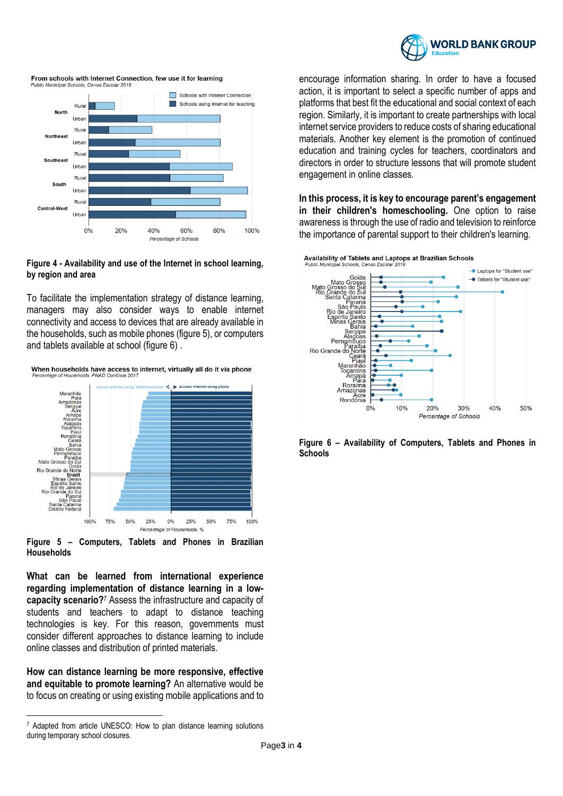

From schools with Internet Connection, few use it for learning



#### **Figure 4 - Availability and use of the Internet in school learning, by region and area**

To facilitate the implementation strategy of distance learning, managers may also consider ways to enable internet connectivity and access to devices that are already available in the households, such as mobile phones (figure 5), or computers and tablets available at school (figure 6) .

When households have access to internet, virtually all do it via phone



**Figure 5 – Computers, Tablets and Phones in Brazilian Households**

**What can be learned from international experience regarding implementation of distance learning in a lowcapacity scenario?**<sup>7</sup> Assess the infrastructure and capacity of students and teachers to adapt to distance teaching technologies is key. For this reason, governments must consider different approaches to distance learning to include online classes and distribution of printed materials.

**How can distance learning be more responsive, effective and equitable to promote learning?** An alternative would be to focus on creating or using existing mobile applications and to

 $\overline{a}$ 

encourage information sharing. In order to have a focused action, it is important to select a specific number of apps and platforms that best fit the educational and social context of each region. Similarly, it is important to create partnerships with local internet service providers to reduce costs of sharing educational materials. Another key element is the promotion of continued education and training cycles for teachers, coordinators and directors in order to structure lessons that will promote student engagement in online classes.

**In this process, it is key to encourage parent's engagement in their children's homeschooling.** One option to raise awareness is through the use of radio and television to reinforce the importance of parental support to their children's learning.



**Figure 6 – Availability of Computers, Tablets and Phones in Schools**

<sup>7</sup> Adapted from article UNESCO: How to plan distance learning solutions during temporary school closures.